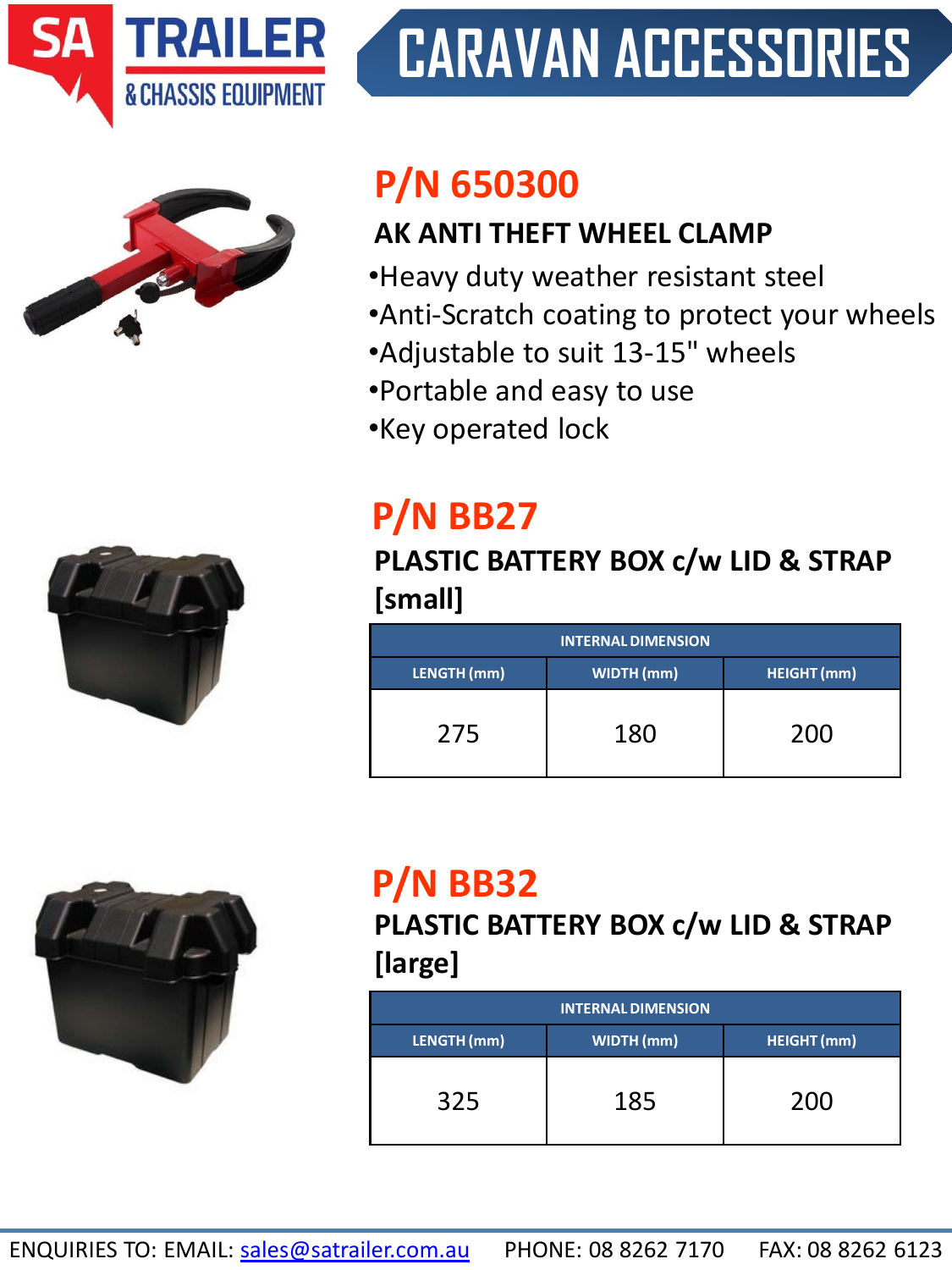

# **CARAVAN ACCESSORIES**



# **P/N 650300**

#### **AK ANTI THEFT WHEEL CLAMP**

- •Heavy duty weather resistant steel
- •Anti-Scratch coating to protect your wheels
- •Adjustable to suit 13-15" wheels
- •Portable and easy to use
- •Key operated lock

# **P/N BB27**

### **PLASTIC BATTERY BOX c/w LID & STRAP [small]**

| <b>INTERNAL DIMENSION</b> |                   |                    |  |
|---------------------------|-------------------|--------------------|--|
| LENGTH (mm)               | <b>WIDTH</b> (mm) | <b>HEIGHT</b> (mm) |  |
| 275                       | 180               | 200                |  |



# **P/N BB32**

**PLASTIC BATTERY BOX c/w LID & STRAP [large]**

| <b>INTERNAL DIMENSION</b> |                   |                    |  |
|---------------------------|-------------------|--------------------|--|
| LENGTH (mm)               | <b>WIDTH</b> (mm) | <b>HEIGHT</b> (mm) |  |
| 325                       | 185               | 200                |  |

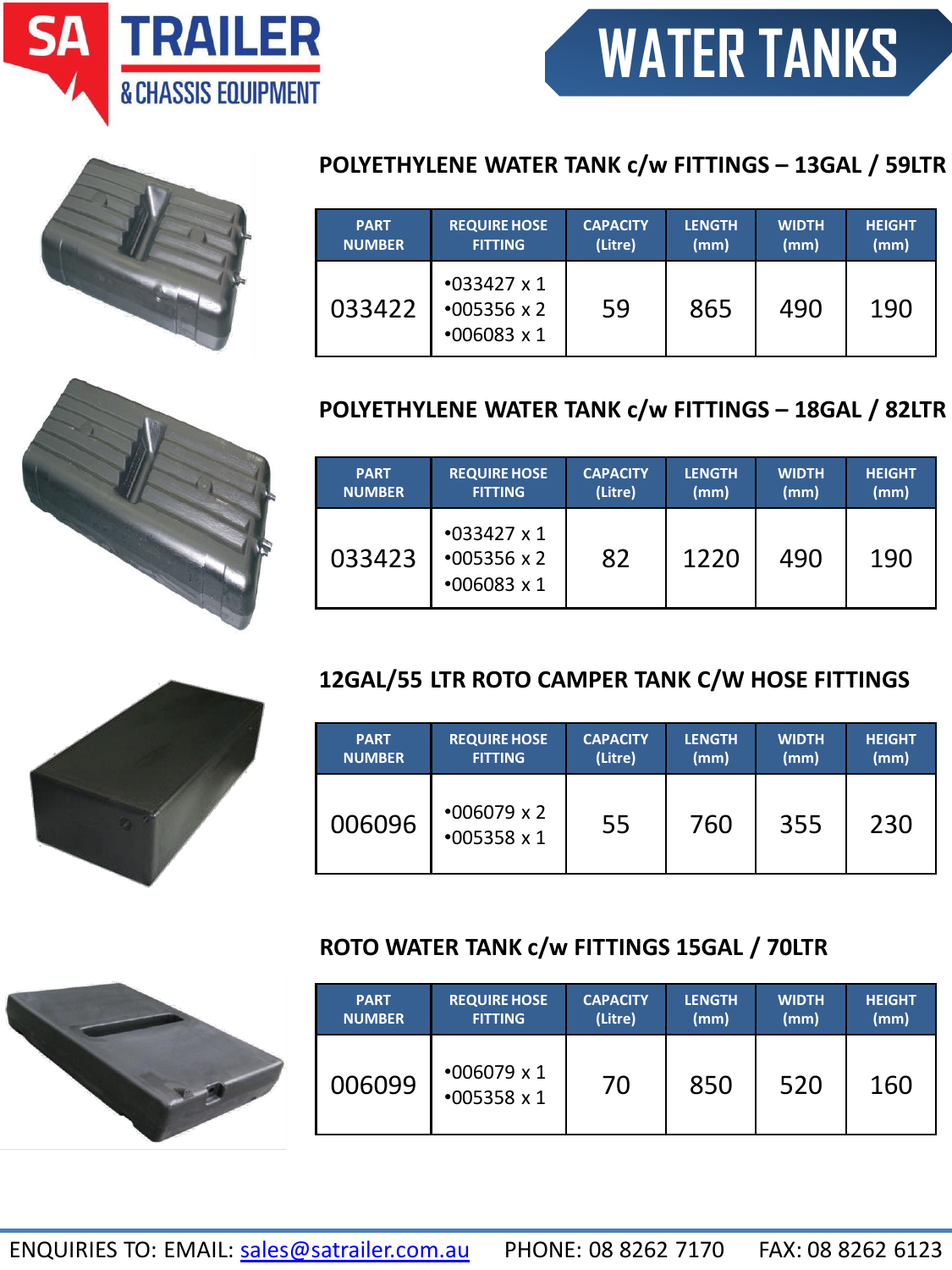ENQUIRIES TO: EMAIL: [sales@satrailer.com.au](mailto:sales@satrailer.com.au) PHONE: 08 8262 7170 FAX: 08 8262 6123

#### 033423 •033427 x 1 •005356 x 2 82 | 1220 | 490 | 190

**CAPACITY (Litre)**

#### **12GAL/55 LTR ROTO CAMPER TANK C/W HOSE FITTINGS**

| <b>PART</b>   | <b>REQUIRE HOSE</b>                      | <b>CAPACITY</b> | <b>LENGTH</b> | <b>WIDTH</b> | <b>HEIGHT</b> |
|---------------|------------------------------------------|-----------------|---------------|--------------|---------------|
| <b>NUMBER</b> | <b>FITTING</b>                           | (Litre)         | (mm)          | (mm)         | (mm)          |
| 006096        | $*006079 \times 2$<br>$*005358 \times 1$ | 55              | 760           | 355          | 230           |

## **ROTO WATER TANK c/w FITTINGS 15GAL / 70LTR**

| <b>PART</b>   | <b>REQUIRE HOSE</b>                      | <b>CAPACITY</b> | <b>LENGTH</b> | <b>WIDTH</b> | <b>HEIGHT</b> |
|---------------|------------------------------------------|-----------------|---------------|--------------|---------------|
| <b>NUMBER</b> | <b>FITTING</b>                           | (Litre)         | (mm)          | (mm)         | (mm)          |
| 006099        | $*006079 \times 1$<br>$*005358 \times 1$ | 70              | 850           | 520          | 160           |

**LENGTH (mm)**

**LENGTH (mm)**

**WIDTH (mm)**

**WIDTH (mm)**

59 865 490 190

**HEIGHT (mm)**

**HEIGHT (mm)**



**PART NUMBER** **REQUIRE HOSE FITTING**

•006083 x 1

#### **POLYETHYLENE WATER TANK c/w FITTINGS – 13GAL / 59LTR**